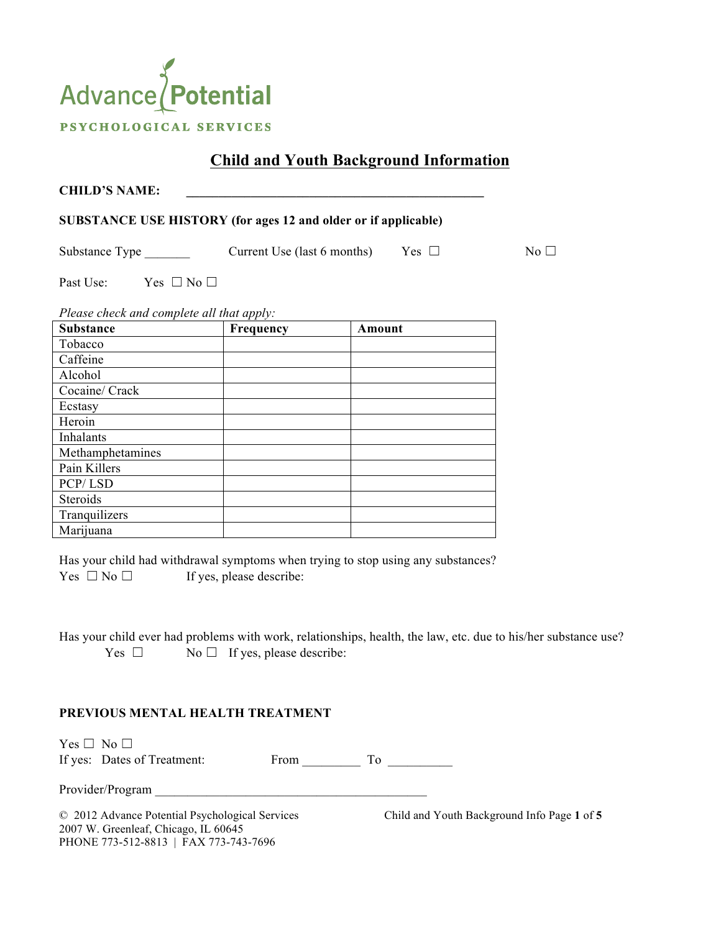# Advance Potential PSYCHOLOGICAL SERVICES

# **Child and Youth Background Information**

| <b>CHILD'S NAME:</b>                                                  |                             |            |              |
|-----------------------------------------------------------------------|-----------------------------|------------|--------------|
| <b>SUBSTANCE USE HISTORY (for ages 12 and older or if applicable)</b> |                             |            |              |
| Substance Type                                                        | Current Use (last 6 months) | Yes $\Box$ | No $\square$ |
| Past Use:<br>Yes $\Box$ No $\Box$                                     |                             |            |              |
| Please check and complete all that apply:                             |                             |            |              |
| <b>Substance</b>                                                      | <b>Frequency</b>            | Amount     |              |
| Tobacco                                                               |                             |            |              |
| Caffeine                                                              |                             |            |              |
| Alcohol                                                               |                             |            |              |

Has your child had withdrawal symptoms when trying to stop using any substances? Yes  $\Box$  No  $\Box$  If yes, please describe:

Has your child ever had problems with work, relationships, health, the law, etc. due to his/her substance use? Yes  $\Box$  No  $\Box$  If yes, please describe:

#### **PREVIOUS MENTAL HEALTH TREATMENT**

Yes □ No □

If yes: Dates of Treatment: From To

Provider/Program

Cocaine/ Crack

Methamphetamines

Pain Killers PCP/ LSD Steroids **Tranquilizers** Marijuana

Ecstasy Heroin Inhalants

2007 W. Greenleaf, Chicago, IL 60645 PHONE 773-512-8813 | FAX 773-743-7696

© 2012 Advance Potential Psychological Services Child and Youth Background Info Page **1** of **5**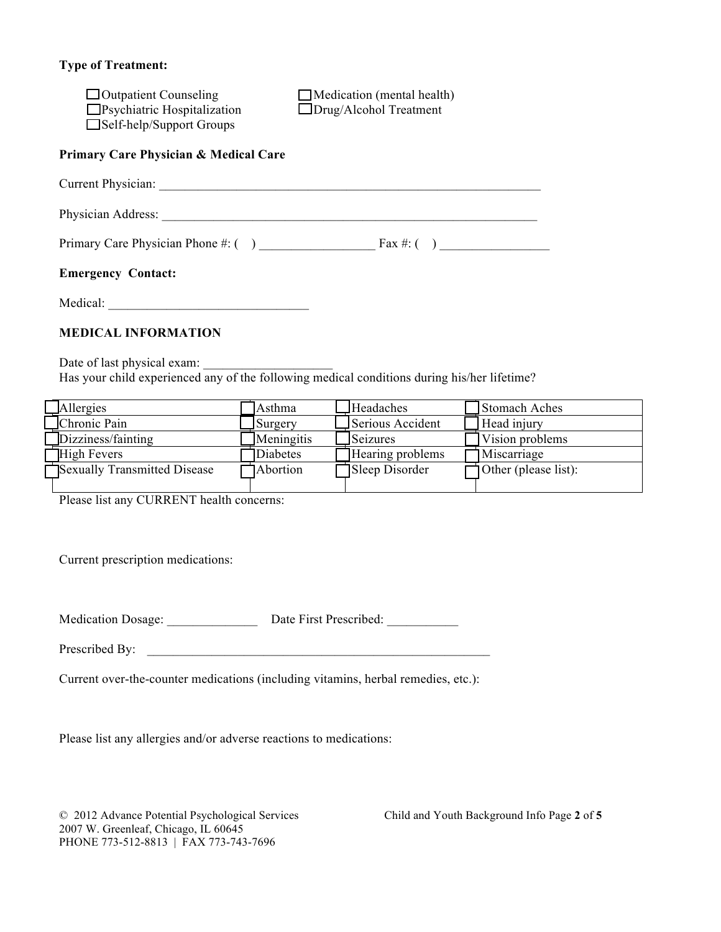## **Type of Treatment:**

| $\Box$ Outpatient Counseling<br>$\Box$ Psychiatric Hospitalization<br>$\Box$ Self-help/Support Groups | $\Box$ Medication (mental health)<br>$\Box$ Drug/Alcohol Treatment |
|-------------------------------------------------------------------------------------------------------|--------------------------------------------------------------------|
| Primary Care Physician & Medical Care                                                                 |                                                                    |
|                                                                                                       |                                                                    |
| Physician Address:                                                                                    |                                                                    |
|                                                                                                       |                                                                    |
| <b>Emergency Contact:</b>                                                                             |                                                                    |

Medical:

#### **MEDICAL INFORMATION**

Date of last physical exam: Has your child experienced any of the following medical conditions during his/her lifetime?

| <b>Allergies</b>             | Asthma          | Headaches        | Stomach Aches               |
|------------------------------|-----------------|------------------|-----------------------------|
| Chronic Pain                 | Surgery         | Serious Accident | Head injury                 |
| Dizziness/fainting           | Meningitis      | Seizures         | Vision problems             |
| High Fevers                  | Diabetes        | Hearing problems | Miscarriage                 |
| Sexually Transmitted Disease | <b>Abortion</b> | Sleep Disorder   | $\Box$ Other (please list): |
|                              |                 |                  |                             |

Please list any CURRENT health concerns:

Current prescription medications:

Medication Dosage: <br>  $\Box$  Date First Prescribed:

Prescribed By: \_\_\_\_\_\_\_\_\_\_\_\_\_\_\_\_\_\_\_\_\_\_\_\_\_\_\_\_\_\_\_\_\_\_\_\_\_\_\_\_\_\_\_\_\_\_\_\_\_\_\_\_\_

Current over-the-counter medications (including vitamins, herbal remedies, etc.):

Please list any allergies and/or adverse reactions to medications:

© 2012 Advance Potential Psychological Services Child and Youth Background Info Page **2** of **5** 2007 W. Greenleaf, Chicago, IL 60645 PHONE 773-512-8813 | FAX 773-743-7696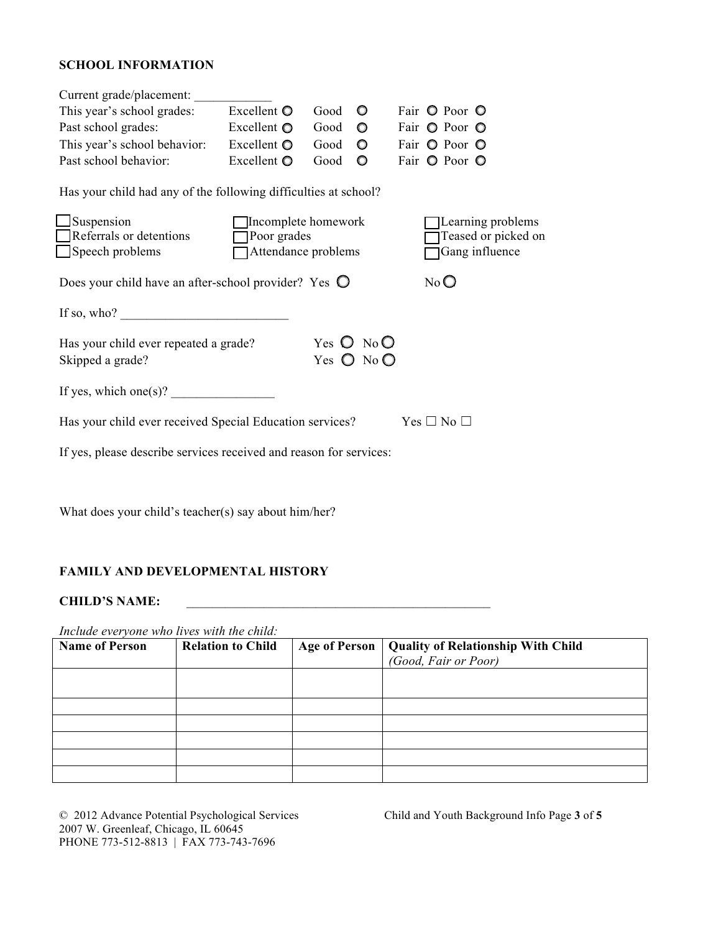# **SCHOOL INFORMATION**

| Current grade/placement:                                                                                                                                                                                                                                                                                                                                                                                      |                     |      |                              |  |                     |
|---------------------------------------------------------------------------------------------------------------------------------------------------------------------------------------------------------------------------------------------------------------------------------------------------------------------------------------------------------------------------------------------------------------|---------------------|------|------------------------------|--|---------------------|
| This year's school grades:                                                                                                                                                                                                                                                                                                                                                                                    | Excellent $\bullet$ | Good | $\circ$                      |  | Fair O Poor O       |
| Past school grades:                                                                                                                                                                                                                                                                                                                                                                                           | Excellent $\bullet$ | Good | $\circ$                      |  | Fair O Poor O       |
| This year's school behavior:                                                                                                                                                                                                                                                                                                                                                                                  | Excellent $\bullet$ | Good | $\circ$                      |  | Fair O Poor O       |
| Past school behavior:                                                                                                                                                                                                                                                                                                                                                                                         | Excellent $\bullet$ | Good | O                            |  | Fair O Poor O       |
| Has your child had any of the following difficulties at school?                                                                                                                                                                                                                                                                                                                                               |                     |      |                              |  |                     |
| Suspension                                                                                                                                                                                                                                                                                                                                                                                                    | Incomplete homework |      |                              |  | Learning problems   |
| $\Box$ Referrals or detentions                                                                                                                                                                                                                                                                                                                                                                                | $\Box$ Poor grades  |      |                              |  | Teased or picked on |
| Speech problems                                                                                                                                                                                                                                                                                                                                                                                               | Attendance problems |      |                              |  | Gang influence      |
| $No$ $O$<br>Does your child have an after-school provider? Yes $\bigcirc$                                                                                                                                                                                                                                                                                                                                     |                     |      |                              |  |                     |
| If so, who? $\qquad \qquad$                                                                                                                                                                                                                                                                                                                                                                                   |                     |      |                              |  |                     |
| Has your child ever repeated a grade?                                                                                                                                                                                                                                                                                                                                                                         |                     |      | Yes $\bigcirc$ No $\bigcirc$ |  |                     |
| Skipped a grade?                                                                                                                                                                                                                                                                                                                                                                                              |                     |      | Yes $\bigcirc$ No $\bigcirc$ |  |                     |
|                                                                                                                                                                                                                                                                                                                                                                                                               |                     |      |                              |  |                     |
| If yes, which one(s)? $\frac{1}{\sqrt{1-\frac{1}{\sqrt{1-\frac{1}{\sqrt{1-\frac{1}{\sqrt{1-\frac{1}{\sqrt{1-\frac{1}{\sqrt{1-\frac{1}{\sqrt{1-\frac{1}{\sqrt{1-\frac{1}{\sqrt{1-\frac{1}{\sqrt{1-\frac{1}{\sqrt{1-\frac{1}{\sqrt{1-\frac{1}{\sqrt{1-\frac{1}{\sqrt{1-\frac{1}{\sqrt{1-\frac{1}{\sqrt{1-\frac{1}{\sqrt{1-\frac{1}{\sqrt{1-\frac{1}{\sqrt{1-\frac{1}{\sqrt{1-\frac{1}{\sqrt{1-\frac{1}{\sqrt{1$ |                     |      |                              |  |                     |
| Has your child ever received Special Education services?<br>$Yes \Box No \Box$                                                                                                                                                                                                                                                                                                                                |                     |      |                              |  |                     |
| If yes, please describe services received and reason for services:                                                                                                                                                                                                                                                                                                                                            |                     |      |                              |  |                     |

What does your child's teacher(s) say about him/her?

# **FAMILY AND DEVELOPMENTAL HISTORY**

## **CHILD'S NAME:** \_\_\_\_\_\_\_\_\_\_\_\_\_\_\_\_\_\_\_\_\_\_\_\_\_\_\_\_\_\_\_\_\_\_\_\_\_\_\_\_\_\_\_\_\_\_\_

*Include everyone who lives with the child:* 

| <b>Name of Person</b> | <b>Relation to Child</b> | Age of Person | <b>Quality of Relationship With Child</b> |
|-----------------------|--------------------------|---------------|-------------------------------------------|
|                       |                          |               | (Good, Fair or Poor)                      |
|                       |                          |               |                                           |
|                       |                          |               |                                           |
|                       |                          |               |                                           |
|                       |                          |               |                                           |
|                       |                          |               |                                           |
|                       |                          |               |                                           |
|                       |                          |               |                                           |

© 2012 Advance Potential Psychological Services Child and Youth Background Info Page **3** of **5** 2007 W. Greenleaf, Chicago, IL 60645 PHONE 773-512-8813 | FAX 773-743-7696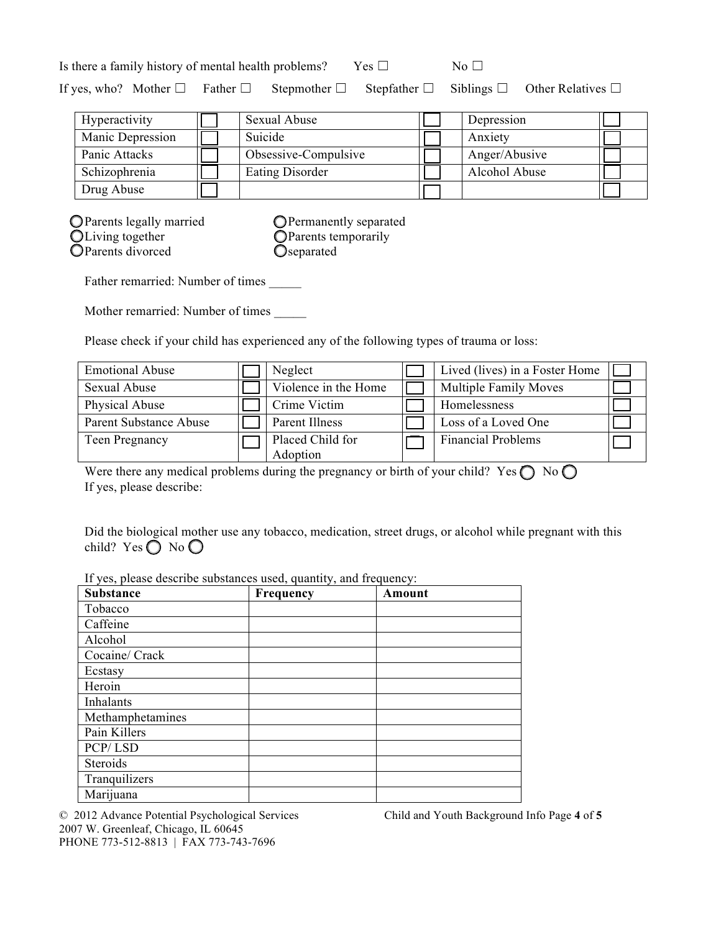|  | Is there a family history of mental health problems? | Yes $\square$ | $N_0 \Box$ |                                                                                                                                       |
|--|------------------------------------------------------|---------------|------------|---------------------------------------------------------------------------------------------------------------------------------------|
|  |                                                      |               |            | If yes, who? Mother $\square$ Father $\square$ Stepmother $\square$ Stepfather $\square$ Siblings $\square$ Other Relatives $\square$ |

| Hyperactivity    | Sexual Abuse           | Depression    |  |
|------------------|------------------------|---------------|--|
| Manic Depression | Suicide                | Anxiety       |  |
| Panic Attacks    | Obsessive-Compulsive   | Anger/Abusive |  |
| Schizophrenia    | <b>Eating Disorder</b> | Alcohol Abuse |  |
| Drug Abuse       |                        |               |  |

| O Parents legally married |
|---------------------------|
| OLiving together          |
| OParents divorced         |

**OPermanently separated** Parents temporarily **O**separated

Father remarried: Number of times

Mother remarried: Number of times

Please check if your child has experienced any of the following types of trauma or loss:

| <b>Emotional Abuse</b> | Neglect                      | Lived (lives) in a Foster Home |  |
|------------------------|------------------------------|--------------------------------|--|
| Sexual Abuse           | Violence in the Home         | <b>Multiple Family Moves</b>   |  |
| Physical Abuse         | Crime Victim                 | Homelessness                   |  |
| Parent Substance Abuse | Parent Illness               | Loss of a Loved One            |  |
| Teen Pregnancy         | Placed Child for<br>Adoption | <b>Financial Problems</b>      |  |

Were there any medical problems during the pregnancy or birth of your child? Yes  $\bigcirc$  No  $\bigcirc$ If yes, please describe:

Did the biological mother use any tobacco, medication, street drugs, or alcohol while pregnant with this child? Yes  $\bigcirc$  No  $\bigcirc$ 

If yes, please describe substances used, quantity, and frequency:

| <b>Substance</b> | Frequency | Amount |
|------------------|-----------|--------|
| Tobacco          |           |        |
| Caffeine         |           |        |
| Alcohol          |           |        |
| Cocaine/ Crack   |           |        |
| Ecstasy          |           |        |
| Heroin           |           |        |
| Inhalants        |           |        |
| Methamphetamines |           |        |
| Pain Killers     |           |        |
| PCP/LSD          |           |        |
| Steroids         |           |        |
| Tranquilizers    |           |        |
| Marijuana        |           |        |

© 2012 Advance Potential Psychological Services Child and Youth Background Info Page **4** of **5** 2007 W. Greenleaf, Chicago, IL 60645 PHONE 773-512-8813 | FAX 773-743-7696